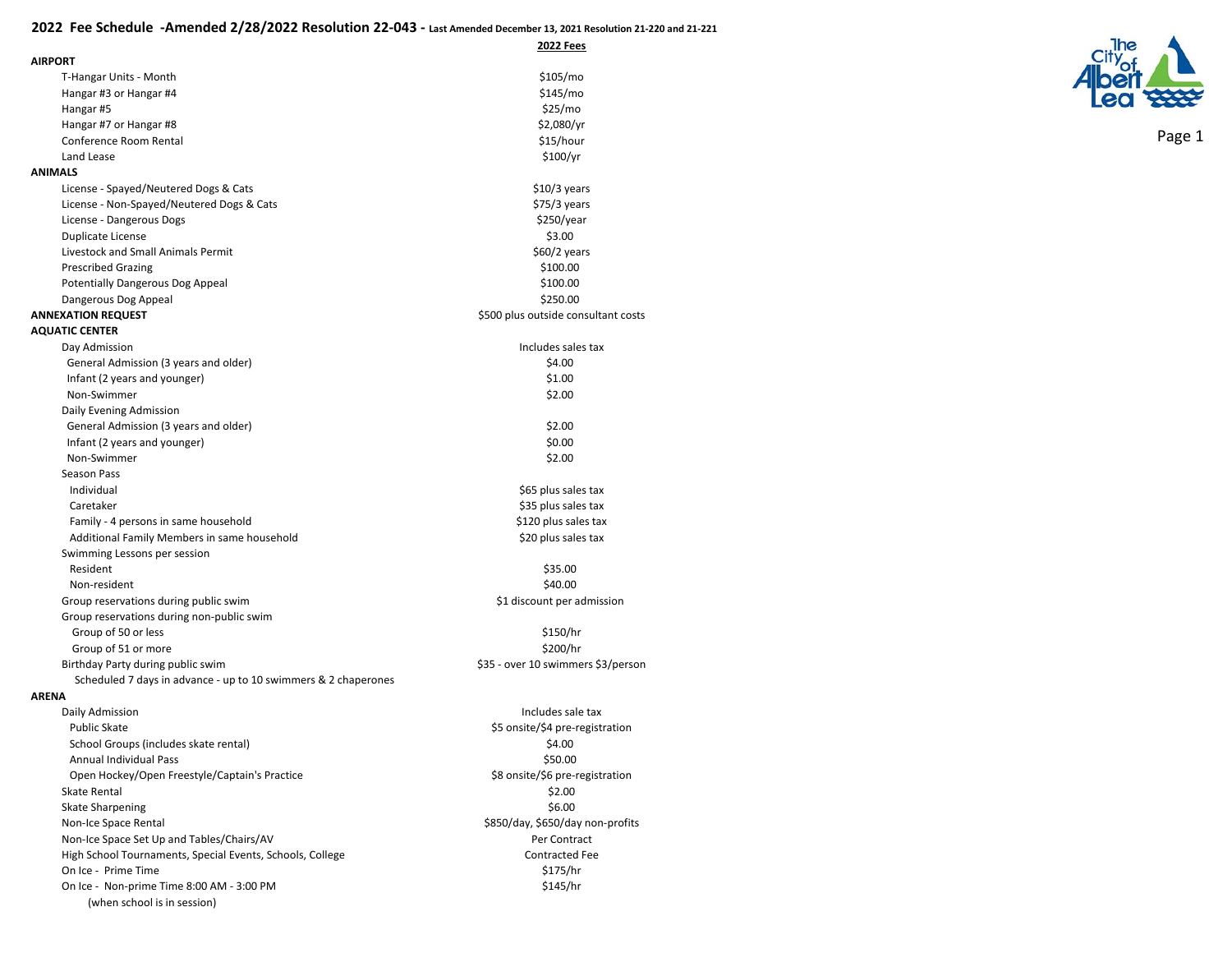**2022 Fees**

| <b>AIRPORT</b>                                                   |                                     |
|------------------------------------------------------------------|-------------------------------------|
| T-Hangar Units - Month                                           | \$105/mo                            |
| Hangar #3 or Hangar #4                                           | \$145/mo                            |
| Hangar #5                                                        | \$25/mo                             |
| Hangar #7 or Hangar #8                                           | \$2,080/yr                          |
| Conference Room Rental                                           | \$15/hour                           |
| Land Lease                                                       | \$100/yr                            |
| <b>ANIMALS</b>                                                   |                                     |
| License - Spayed/Neutered Dogs & Cats                            | $$10/3$ years                       |
| License - Non-Spayed/Neutered Dogs & Cats                        | $$75/3$ years                       |
| License - Dangerous Dogs                                         | \$250/year                          |
| Duplicate License                                                | \$3.00                              |
| Livestock and Small Animals Permit                               | $$60/2$ years                       |
| <b>Prescribed Grazing</b>                                        | \$100.00                            |
| <b>Potentially Dangerous Dog Appeal</b>                          | \$100.00                            |
| Dangerous Dog Appeal                                             | \$250.00                            |
| <b>ANNEXATION REQUEST</b>                                        | \$500 plus outside consultant costs |
| <b>AQUATIC CENTER</b>                                            |                                     |
| Day Admission                                                    | Includes sales tax                  |
| General Admission (3 years and older)                            | \$4.00                              |
| Infant (2 years and younger)                                     | \$1.00                              |
| Non-Swimmer                                                      | \$2.00                              |
|                                                                  |                                     |
| Daily Evening Admission<br>General Admission (3 years and older) | \$2.00                              |
| Infant (2 years and younger)                                     | \$0.00                              |
| Non-Swimmer                                                      | \$2.00                              |
| Season Pass                                                      |                                     |
| Individual                                                       | \$65 plus sales tax                 |
| Caretaker                                                        | \$35 plus sales tax                 |
|                                                                  | \$120 plus sales tax                |
| Family - 4 persons in same household                             | \$20 plus sales tax                 |
| Additional Family Members in same household                      |                                     |
| Swimming Lessons per session<br>Resident                         | \$35.00                             |
| Non-resident                                                     | \$40.00                             |
| Group reservations during public swim                            | \$1 discount per admission          |
|                                                                  |                                     |
| Group reservations during non-public swim<br>Group of 50 or less | \$150/hr                            |
| Group of 51 or more                                              | \$200/hr                            |
| Birthday Party during public swim                                | \$35 - over 10 swimmers \$3/person  |
| Scheduled 7 days in advance - up to 10 swimmers & 2 chaperones   |                                     |
| <b>ARENA</b>                                                     |                                     |
| Daily Admission                                                  | Includes sale tax                   |
| <b>Public Skate</b>                                              | \$5 onsite/\$4 pre-registration     |
| School Groups (includes skate rental)                            | \$4.00                              |
| Annual Individual Pass                                           | \$50.00                             |
| Open Hockey/Open Freestyle/Captain's Practice                    | \$8 onsite/\$6 pre-registration     |
| Skate Rental                                                     | \$2.00                              |
| <b>Skate Sharpening</b>                                          | \$6.00                              |
| Non-Ice Space Rental                                             | \$850/day, \$650/day non-profits    |
| Non-Ice Space Set Up and Tables/Chairs/AV                        | Per Contract                        |
| High School Tournaments, Special Events, Schools, College        | <b>Contracted Fee</b>               |
| On Ice - Prime Time                                              | \$175/hr                            |
| On Ice - Non-prime Time 8:00 AM - 3:00 PM                        | \$145/hr                            |
| (when school is in session)                                      |                                     |
|                                                                  |                                     |

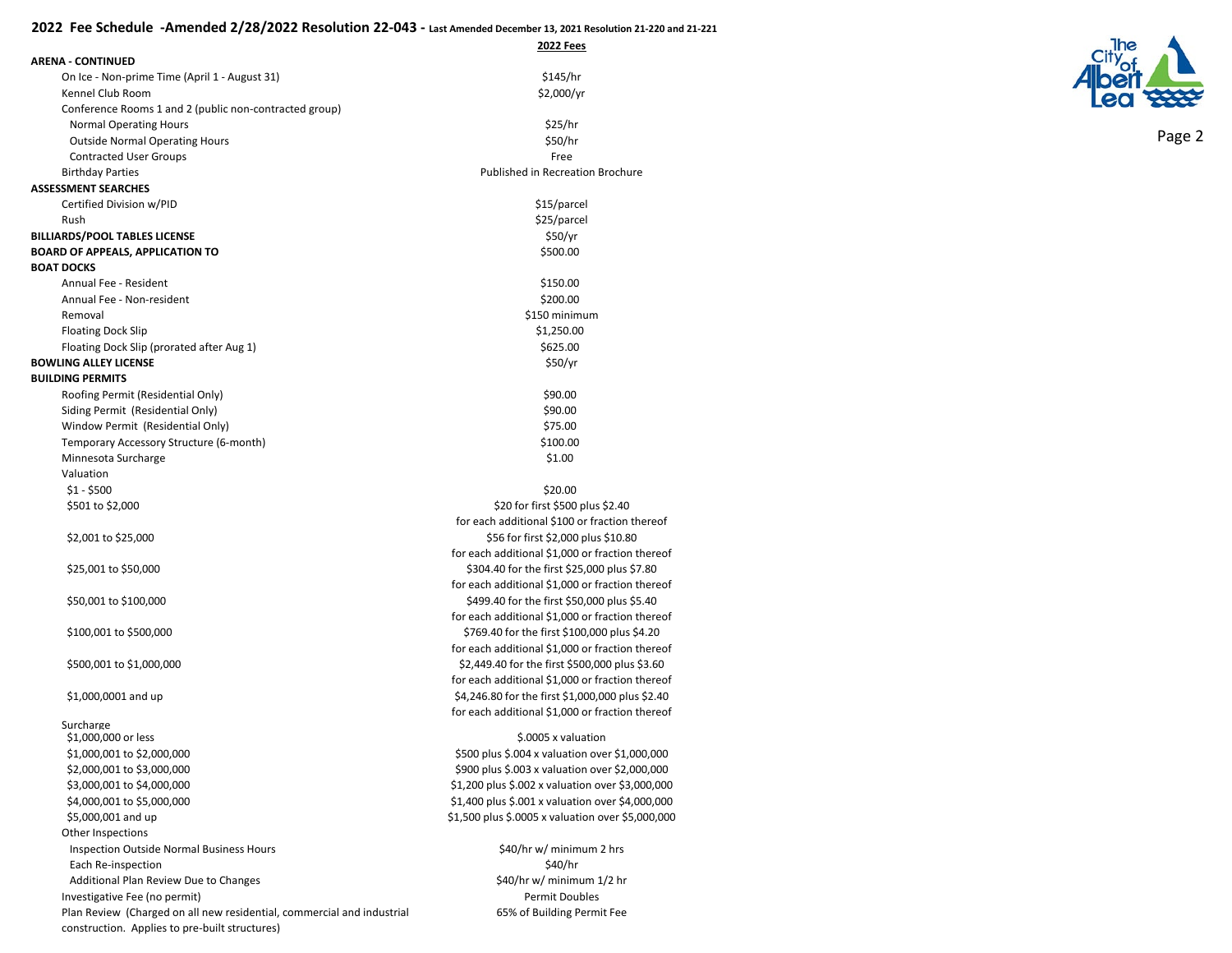|                                                                        | 2022 Fees                                                                                       |
|------------------------------------------------------------------------|-------------------------------------------------------------------------------------------------|
| <b>ARENA - CONTINUED</b>                                               |                                                                                                 |
| On Ice - Non-prime Time (April 1 - August 31)                          | \$145/hr                                                                                        |
| Kennel Club Room                                                       | \$2,000/yr                                                                                      |
| Conference Rooms 1 and 2 (public non-contracted group)                 |                                                                                                 |
| <b>Normal Operating Hours</b>                                          | \$25/hr                                                                                         |
| <b>Outside Normal Operating Hours</b>                                  | \$50/hr                                                                                         |
| <b>Contracted User Groups</b>                                          | Free                                                                                            |
| <b>Birthday Parties</b>                                                | <b>Published in Recreation Brochure</b>                                                         |
| <b>ASSESSMENT SEARCHES</b>                                             |                                                                                                 |
| Certified Division w/PID                                               | \$15/parcel                                                                                     |
| Rush                                                                   | \$25/parcel                                                                                     |
| <b>BILLIARDS/POOL TABLES LICENSE</b>                                   | \$50/yr                                                                                         |
| <b>BOARD OF APPEALS, APPLICATION TO</b>                                | \$500.00                                                                                        |
| <b>BOAT DOCKS</b>                                                      |                                                                                                 |
| Annual Fee - Resident                                                  | \$150.00                                                                                        |
| Annual Fee - Non-resident                                              | \$200.00                                                                                        |
| Removal                                                                | \$150 minimum                                                                                   |
| <b>Floating Dock Slip</b>                                              | \$1,250.00                                                                                      |
| Floating Dock Slip (prorated after Aug 1)                              | \$625.00                                                                                        |
| <b>BOWLING ALLEY LICENSE</b>                                           | \$50/yr                                                                                         |
| <b>BUILDING PERMITS</b>                                                |                                                                                                 |
| Roofing Permit (Residential Only)                                      | \$90.00                                                                                         |
| Siding Permit (Residential Only)                                       | \$90.00                                                                                         |
| Window Permit (Residential Only)                                       | \$75.00                                                                                         |
| Temporary Accessory Structure (6-month)                                | \$100.00                                                                                        |
| Minnesota Surcharge                                                    | \$1.00                                                                                          |
| Valuation                                                              |                                                                                                 |
| $$1 - $500$                                                            | \$20.00                                                                                         |
| \$501 to \$2,000                                                       | \$20 for first \$500 plus \$2.40                                                                |
|                                                                        | for each additional \$100 or fraction thereof                                                   |
| \$2,001 to \$25,000                                                    | \$56 for first \$2,000 plus \$10.80                                                             |
|                                                                        | for each additional \$1,000 or fraction thereof                                                 |
| \$25,001 to \$50,000                                                   | \$304.40 for the first \$25,000 plus \$7.80                                                     |
|                                                                        | for each additional \$1,000 or fraction thereof                                                 |
| \$50,001 to \$100,000                                                  | \$499.40 for the first \$50,000 plus \$5.40                                                     |
| \$100,001 to \$500,000                                                 | for each additional \$1,000 or fraction thereof<br>\$769.40 for the first \$100,000 plus \$4.20 |
|                                                                        | for each additional \$1,000 or fraction thereof                                                 |
| \$500,001 to \$1,000,000                                               | \$2,449.40 for the first \$500,000 plus \$3.60                                                  |
|                                                                        | for each additional \$1,000 or fraction thereof                                                 |
| \$1,000,0001 and up                                                    | \$4,246.80 for the first \$1,000,000 plus \$2.40                                                |
|                                                                        | for each additional \$1,000 or fraction thereof                                                 |
| Surcharge                                                              |                                                                                                 |
| \$1,000,000 or less                                                    | \$.0005 x valuation                                                                             |
| \$1,000,001 to \$2,000,000                                             | \$500 plus \$.004 x valuation over \$1,000,000                                                  |
| \$2,000,001 to \$3,000,000                                             | \$900 plus \$.003 x valuation over \$2,000,000                                                  |
| \$3,000,001 to \$4,000,000                                             | \$1,200 plus \$.002 x valuation over \$3,000,000                                                |
| \$4,000,001 to \$5,000,000                                             | \$1,400 plus \$.001 x valuation over \$4,000,000                                                |
| \$5,000,001 and up                                                     | \$1,500 plus \$.0005 x valuation over \$5,000,000                                               |
| Other Inspections                                                      |                                                                                                 |
| <b>Inspection Outside Normal Business Hours</b>                        | \$40/hr w/ minimum 2 hrs                                                                        |
| Each Re-inspection                                                     | \$40/hr                                                                                         |
| Additional Plan Review Due to Changes                                  | \$40/hr w/ minimum 1/2 hr                                                                       |
| Investigative Fee (no permit)                                          | <b>Permit Doubles</b>                                                                           |
| Plan Review (Charged on all new residential, commercial and industrial | 65% of Building Permit Fee                                                                      |
| construction. Applies to pre-built structures)                         |                                                                                                 |

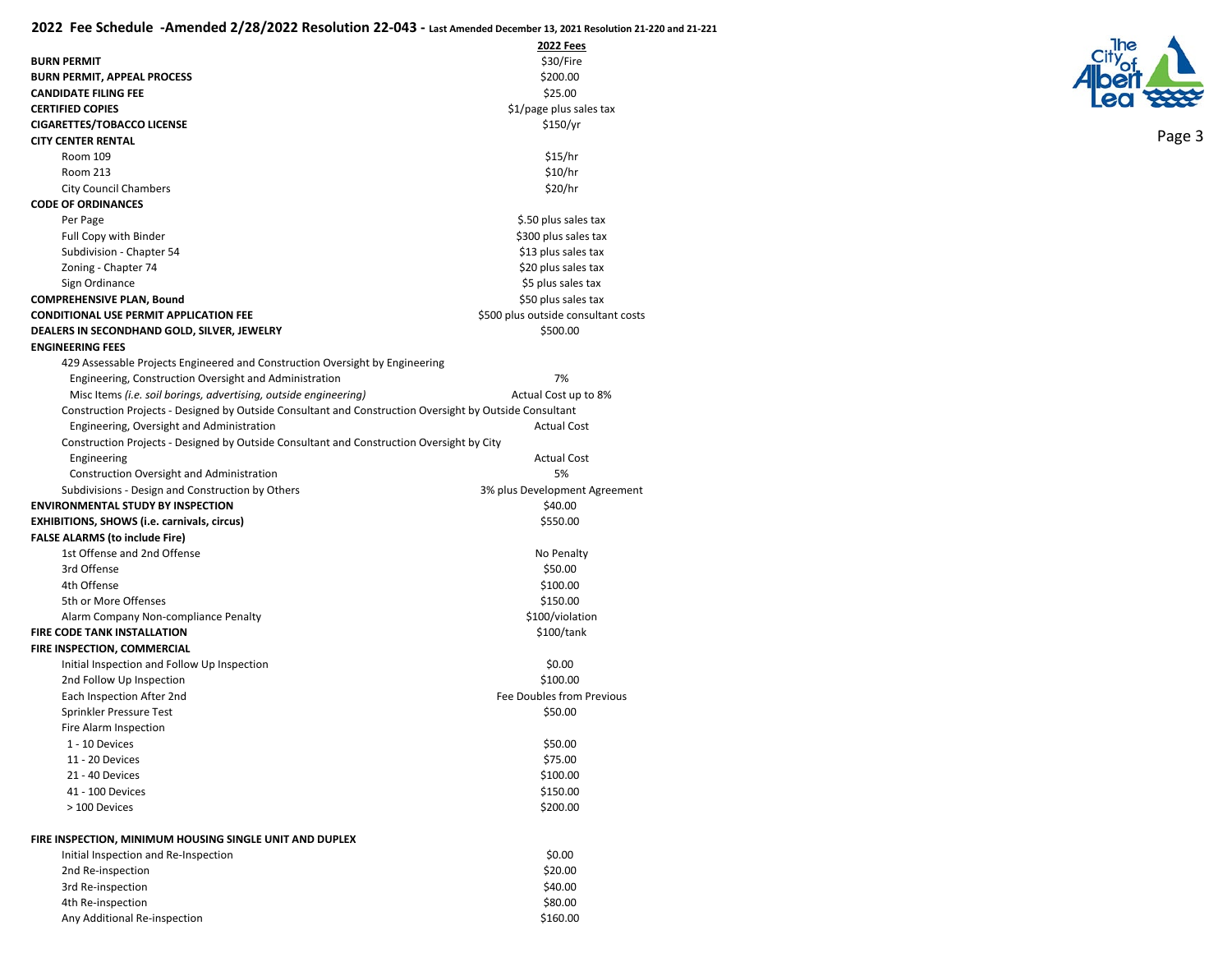|                                                                                                         | <b>2022 Fees</b>                    |
|---------------------------------------------------------------------------------------------------------|-------------------------------------|
| <b>BURN PERMIT</b>                                                                                      | \$30/Fire                           |
| <b>BURN PERMIT, APPEAL PROCESS</b>                                                                      | \$200.00                            |
| <b>CANDIDATE FILING FEE</b>                                                                             | \$25.00                             |
| <b>CERTIFIED COPIES</b>                                                                                 | \$1/page plus sales tax             |
| <b>CIGARETTES/TOBACCO LICENSE</b>                                                                       | \$150/yr                            |
| <b>CITY CENTER RENTAL</b>                                                                               |                                     |
| Room 109                                                                                                | \$15/hr                             |
| Room 213                                                                                                | \$10/hr                             |
| <b>City Council Chambers</b>                                                                            | \$20/hr                             |
| <b>CODE OF ORDINANCES</b>                                                                               |                                     |
| Per Page                                                                                                | \$.50 plus sales tax                |
| Full Copy with Binder                                                                                   | \$300 plus sales tax                |
| Subdivision - Chapter 54                                                                                | \$13 plus sales tax                 |
| Zoning - Chapter 74                                                                                     | \$20 plus sales tax                 |
| Sign Ordinance                                                                                          | \$5 plus sales tax                  |
| <b>COMPREHENSIVE PLAN, Bound</b>                                                                        | \$50 plus sales tax                 |
| <b>CONDITIONAL USE PERMIT APPLICATION FEE</b>                                                           | \$500 plus outside consultant costs |
| DEALERS IN SECONDHAND GOLD, SILVER, JEWELRY                                                             | \$500.00                            |
| <b>ENGINEERING FEES</b>                                                                                 |                                     |
| 429 Assessable Projects Engineered and Construction Oversight by Engineering                            |                                     |
| Engineering, Construction Oversight and Administration                                                  | 7%                                  |
| Misc Items (i.e. soil borings, advertising, outside engineering)                                        | Actual Cost up to 8%                |
| Construction Projects - Designed by Outside Consultant and Construction Oversight by Outside Consultant |                                     |
| Engineering, Oversight and Administration                                                               | <b>Actual Cost</b>                  |
| Construction Projects - Designed by Outside Consultant and Construction Oversight by City               |                                     |
| Engineering                                                                                             | <b>Actual Cost</b>                  |
| Construction Oversight and Administration                                                               | 5%                                  |
| Subdivisions - Design and Construction by Others                                                        | 3% plus Development Agreement       |
| <b>ENVIRONMENTAL STUDY BY INSPECTION</b>                                                                | \$40.00                             |
| EXHIBITIONS, SHOWS (i.e. carnivals, circus)                                                             | \$550.00                            |
| <b>FALSE ALARMS (to include Fire)</b>                                                                   |                                     |
| 1st Offense and 2nd Offense                                                                             | No Penalty                          |
| 3rd Offense                                                                                             | \$50.00                             |
| 4th Offense                                                                                             | \$100.00                            |
| 5th or More Offenses                                                                                    | \$150.00                            |
| Alarm Company Non-compliance Penalty                                                                    | \$100/violation                     |
| <b>FIRE CODE TANK INSTALLATION</b>                                                                      | \$100/tank                          |
| FIRE INSPECTION, COMMERCIAL                                                                             |                                     |
| Initial Inspection and Follow Up Inspection                                                             | \$0.00                              |
| 2nd Follow Up Inspection                                                                                | \$100.00                            |
| Each Inspection After 2nd                                                                               | Fee Doubles from Previous           |
| Sprinkler Pressure Test                                                                                 | \$50.00                             |
| Fire Alarm Inspection                                                                                   |                                     |
| 1 - 10 Devices                                                                                          | \$50.00                             |
| 11 - 20 Devices                                                                                         | \$75.00                             |
| 21 - 40 Devices                                                                                         | \$100.00                            |
| 41 - 100 Devices                                                                                        | \$150.00                            |
| > 100 Devices                                                                                           | \$200.00                            |
| FIRE INSPECTION, MINIMUM HOUSING SINGLE UNIT AND DUPLEX                                                 |                                     |
| Initial Inspection and Re-Inspection                                                                    | \$0.00                              |
| 2nd Re-inspection                                                                                       | \$20.00                             |
| 3rd Re-inspection                                                                                       | \$40.00                             |
| 4th Re-inspection                                                                                       | \$80.00                             |
| Any Additional Re-inspection                                                                            | \$160.00                            |
|                                                                                                         |                                     |

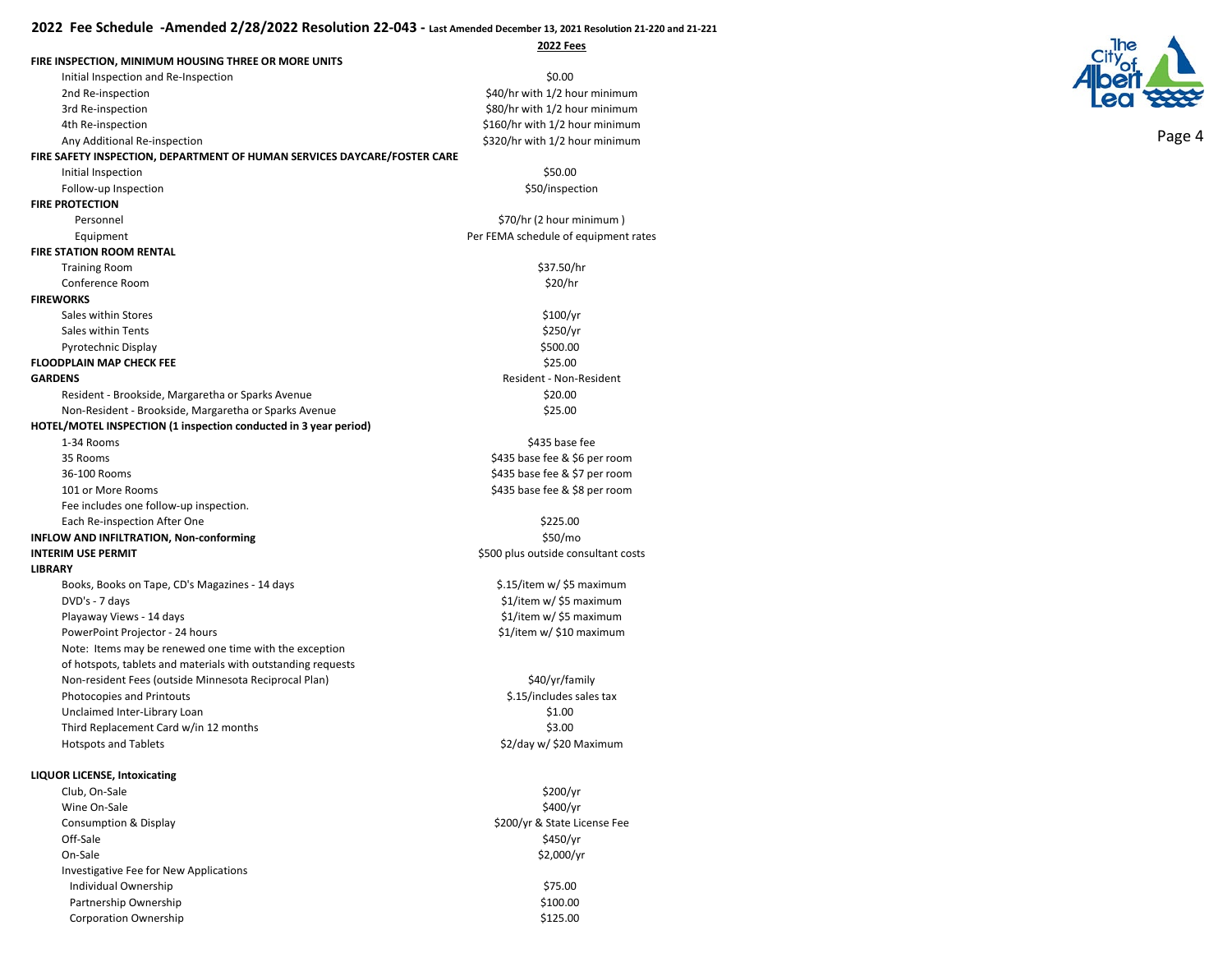**2022 Fees**

| FIRE INSPECTION, MINIMUM HOUSING THREE OR MORE UNITS<br>Initial Inspection and Re-Inspection<br>\$0.00<br>\$40/hr with 1/2 hour minimum<br>2nd Re-inspection<br>3rd Re-inspection<br>\$80/hr with 1/2 hour minimum<br>\$160/hr with 1/2 hour minimum<br>4th Re-inspection<br>\$320/hr with 1/2 hour minimum<br>Any Additional Re-inspection<br>FIRE SAFETY INSPECTION, DEPARTMENT OF HUMAN SERVICES DAYCARE/FOSTER CARE |  |
|-------------------------------------------------------------------------------------------------------------------------------------------------------------------------------------------------------------------------------------------------------------------------------------------------------------------------------------------------------------------------------------------------------------------------|--|
|                                                                                                                                                                                                                                                                                                                                                                                                                         |  |
|                                                                                                                                                                                                                                                                                                                                                                                                                         |  |
|                                                                                                                                                                                                                                                                                                                                                                                                                         |  |
|                                                                                                                                                                                                                                                                                                                                                                                                                         |  |
|                                                                                                                                                                                                                                                                                                                                                                                                                         |  |
|                                                                                                                                                                                                                                                                                                                                                                                                                         |  |
|                                                                                                                                                                                                                                                                                                                                                                                                                         |  |
| Initial Inspection<br>\$50.00                                                                                                                                                                                                                                                                                                                                                                                           |  |
| Follow-up Inspection<br>\$50/inspection<br><b>FIRE PROTECTION</b>                                                                                                                                                                                                                                                                                                                                                       |  |
| \$70/hr (2 hour minimum)<br>Personnel                                                                                                                                                                                                                                                                                                                                                                                   |  |
| Per FEMA schedule of equipment rates                                                                                                                                                                                                                                                                                                                                                                                    |  |
| Equipment<br><b>FIRE STATION ROOM RENTAL</b>                                                                                                                                                                                                                                                                                                                                                                            |  |
|                                                                                                                                                                                                                                                                                                                                                                                                                         |  |
| \$37.50/hr<br><b>Training Room</b>                                                                                                                                                                                                                                                                                                                                                                                      |  |
| \$20/hr<br>Conference Room<br><b>FIREWORKS</b>                                                                                                                                                                                                                                                                                                                                                                          |  |
|                                                                                                                                                                                                                                                                                                                                                                                                                         |  |
| Sales within Stores<br>\$100/yr                                                                                                                                                                                                                                                                                                                                                                                         |  |
| \$250/yr<br>Sales within Tents                                                                                                                                                                                                                                                                                                                                                                                          |  |
| Pyrotechnic Display<br>\$500.00                                                                                                                                                                                                                                                                                                                                                                                         |  |
| <b>FLOODPLAIN MAP CHECK FEE</b><br>\$25.00                                                                                                                                                                                                                                                                                                                                                                              |  |
| <b>GARDENS</b><br>Resident - Non-Resident                                                                                                                                                                                                                                                                                                                                                                               |  |
| \$20.00<br>Resident - Brookside, Margaretha or Sparks Avenue                                                                                                                                                                                                                                                                                                                                                            |  |
| Non-Resident - Brookside, Margaretha or Sparks Avenue<br>\$25.00                                                                                                                                                                                                                                                                                                                                                        |  |
| HOTEL/MOTEL INSPECTION (1 inspection conducted in 3 year period)                                                                                                                                                                                                                                                                                                                                                        |  |
| \$435 base fee<br>1-34 Rooms                                                                                                                                                                                                                                                                                                                                                                                            |  |
| 35 Rooms<br>\$435 base fee & \$6 per room                                                                                                                                                                                                                                                                                                                                                                               |  |
| \$435 base fee & \$7 per room<br>36-100 Rooms                                                                                                                                                                                                                                                                                                                                                                           |  |
| \$435 base fee & \$8 per room<br>101 or More Rooms                                                                                                                                                                                                                                                                                                                                                                      |  |
| Fee includes one follow-up inspection.                                                                                                                                                                                                                                                                                                                                                                                  |  |
| \$225.00<br>Each Re-inspection After One                                                                                                                                                                                                                                                                                                                                                                                |  |
| INFLOW AND INFILTRATION, Non-conforming<br>\$50/mo                                                                                                                                                                                                                                                                                                                                                                      |  |
| <b>INTERIM USE PERMIT</b><br>\$500 plus outside consultant costs                                                                                                                                                                                                                                                                                                                                                        |  |
| <b>LIBRARY</b>                                                                                                                                                                                                                                                                                                                                                                                                          |  |
| \$.15/item w/ \$5 maximum<br>Books, Books on Tape, CD's Magazines - 14 days                                                                                                                                                                                                                                                                                                                                             |  |
| \$1/item w/ \$5 maximum<br>DVD's - 7 days                                                                                                                                                                                                                                                                                                                                                                               |  |
| \$1/item w/ \$5 maximum<br>Playaway Views - 14 days                                                                                                                                                                                                                                                                                                                                                                     |  |
| \$1/item w/ \$10 maximum<br>PowerPoint Projector - 24 hours                                                                                                                                                                                                                                                                                                                                                             |  |
| Note: Items may be renewed one time with the exception                                                                                                                                                                                                                                                                                                                                                                  |  |
| of hotspots, tablets and materials with outstanding requests                                                                                                                                                                                                                                                                                                                                                            |  |
| Non-resident Fees (outside Minnesota Reciprocal Plan)<br>\$40/yr/family                                                                                                                                                                                                                                                                                                                                                 |  |
| \$.15/includes sales tax<br>Photocopies and Printouts                                                                                                                                                                                                                                                                                                                                                                   |  |
| Unclaimed Inter-Library Loan<br>\$1.00                                                                                                                                                                                                                                                                                                                                                                                  |  |
| \$3.00<br>Third Replacement Card w/in 12 months                                                                                                                                                                                                                                                                                                                                                                         |  |
| \$2/day w/ \$20 Maximum<br><b>Hotspots and Tablets</b>                                                                                                                                                                                                                                                                                                                                                                  |  |
|                                                                                                                                                                                                                                                                                                                                                                                                                         |  |
| <b>LIQUOR LICENSE, Intoxicating</b>                                                                                                                                                                                                                                                                                                                                                                                     |  |
| \$200/yr<br>Club, On-Sale                                                                                                                                                                                                                                                                                                                                                                                               |  |
| \$400/yr<br>Wine On-Sale                                                                                                                                                                                                                                                                                                                                                                                                |  |
| \$200/yr & State License Fee<br>Consumption & Display                                                                                                                                                                                                                                                                                                                                                                   |  |
| \$450/yr<br>Off-Sale                                                                                                                                                                                                                                                                                                                                                                                                    |  |
| On-Sale<br>\$2,000/yr                                                                                                                                                                                                                                                                                                                                                                                                   |  |
| Investigative Fee for New Applications                                                                                                                                                                                                                                                                                                                                                                                  |  |
| \$75.00<br>Individual Ownership                                                                                                                                                                                                                                                                                                                                                                                         |  |
| Partnership Ownership<br>\$100.00                                                                                                                                                                                                                                                                                                                                                                                       |  |
| <b>Corporation Ownership</b><br>\$125.00                                                                                                                                                                                                                                                                                                                                                                                |  |

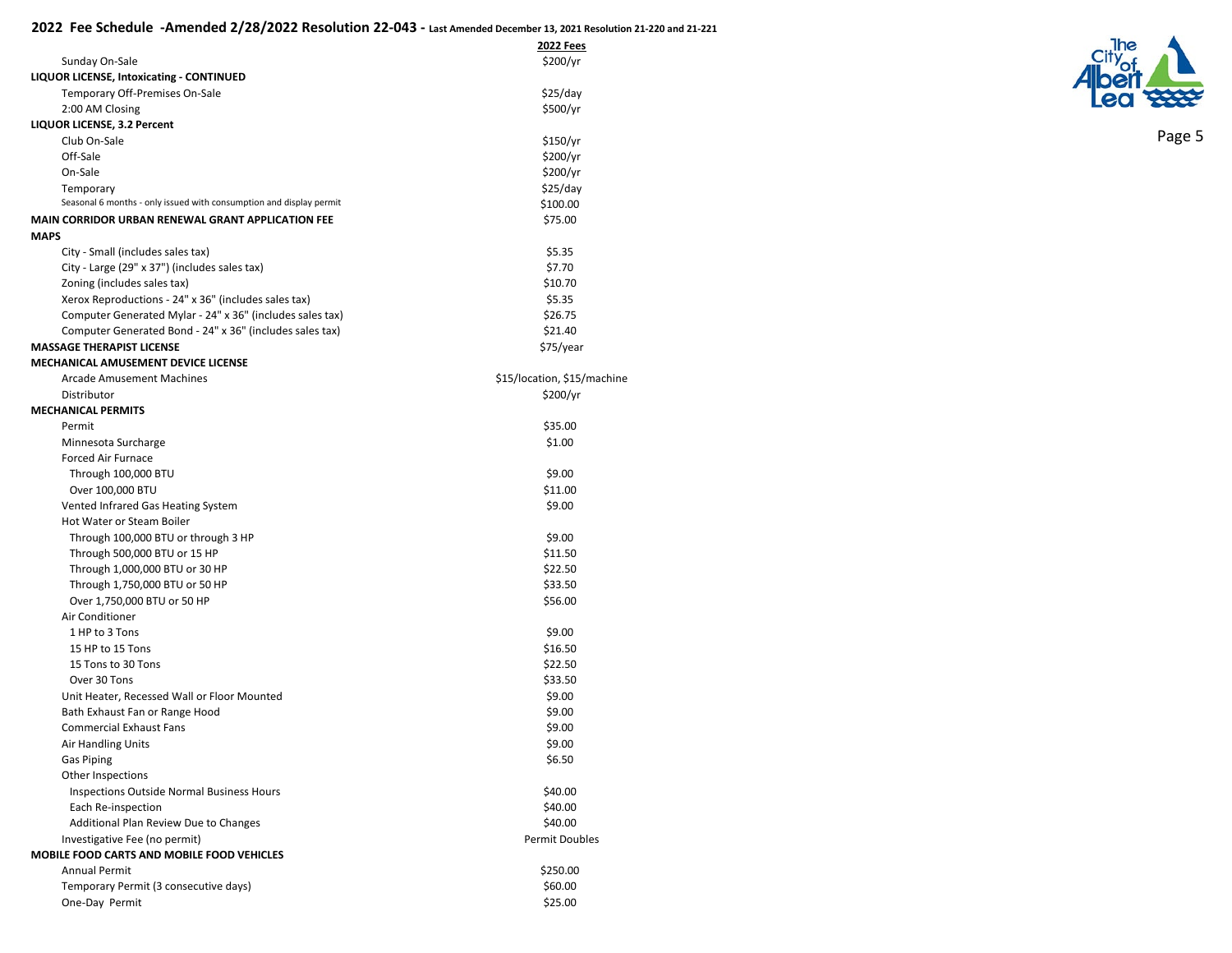|                                                                     | <b>2022 Fees</b>            |
|---------------------------------------------------------------------|-----------------------------|
| Sunday On-Sale                                                      | \$200/yr                    |
| LIQUOR LICENSE, Intoxicating - CONTINUED                            |                             |
| Temporary Off-Premises On-Sale                                      | \$25/day                    |
| 2:00 AM Closing                                                     | \$500/yr                    |
| LIQUOR LICENSE, 3.2 Percent                                         |                             |
| Club On-Sale                                                        | \$150/yr                    |
| Off-Sale                                                            | \$200/yr                    |
| On-Sale                                                             | \$200/yr                    |
| Temporary                                                           | \$25/day                    |
| Seasonal 6 months - only issued with consumption and display permit | \$100.00                    |
| <b>MAIN CORRIDOR URBAN RENEWAL GRANT APPLICATION FEE</b>            | \$75.00                     |
| <b>MAPS</b>                                                         |                             |
| City - Small (includes sales tax)                                   | \$5.35                      |
| City - Large (29" x 37") (includes sales tax)                       | \$7.70                      |
| Zoning (includes sales tax)                                         | \$10.70                     |
| Xerox Reproductions - 24" x 36" (includes sales tax)                | \$5.35                      |
| Computer Generated Mylar - 24" x 36" (includes sales tax)           | \$26.75                     |
| Computer Generated Bond - 24" x 36" (includes sales tax)            | \$21.40                     |
| <b>MASSAGE THERAPIST LICENSE</b>                                    | \$75/year                   |
| <b>MECHANICAL AMUSEMENT DEVICE LICENSE</b>                          |                             |
| <b>Arcade Amusement Machines</b>                                    | \$15/location, \$15/machine |
| Distributor                                                         |                             |
| <b>MECHANICAL PERMITS</b>                                           | \$200/yr                    |
|                                                                     |                             |
| Permit                                                              | \$35.00                     |
| Minnesota Surcharge                                                 | \$1.00                      |
| <b>Forced Air Furnace</b>                                           |                             |
| Through 100,000 BTU                                                 | \$9.00                      |
| Over 100,000 BTU                                                    | \$11.00                     |
| Vented Infrared Gas Heating System                                  | \$9.00                      |
| Hot Water or Steam Boiler                                           |                             |
| Through 100,000 BTU or through 3 HP                                 | \$9.00                      |
| Through 500,000 BTU or 15 HP                                        | \$11.50                     |
| Through 1,000,000 BTU or 30 HP                                      | \$22.50                     |
| Through 1,750,000 BTU or 50 HP                                      | \$33.50                     |
| Over 1,750,000 BTU or 50 HP                                         | \$56.00                     |
| Air Conditioner                                                     |                             |
| 1 HP to 3 Tons                                                      | \$9.00                      |
| 15 HP to 15 Tons                                                    | \$16.50                     |
| 15 Tons to 30 Tons                                                  | \$22.50                     |
| Over 30 Tons                                                        | \$33.50                     |
| Unit Heater, Recessed Wall or Floor Mounted                         | \$9.00                      |
| Bath Exhaust Fan or Range Hood                                      | \$9.00                      |
| <b>Commercial Exhaust Fans</b>                                      | \$9.00                      |
| Air Handling Units                                                  | \$9.00                      |
| <b>Gas Piping</b>                                                   | \$6.50                      |
| Other Inspections                                                   |                             |
| Inspections Outside Normal Business Hours                           | \$40.00                     |
| Each Re-inspection                                                  | \$40.00                     |
| Additional Plan Review Due to Changes                               | \$40.00                     |
| Investigative Fee (no permit)                                       | Permit Doubles              |
| MOBILE FOOD CARTS AND MOBILE FOOD VEHICLES                          |                             |
| <b>Annual Permit</b>                                                | \$250.00                    |
| Temporary Permit (3 consecutive days)                               | \$60.00                     |
| One-Day Permit                                                      | \$25.00                     |

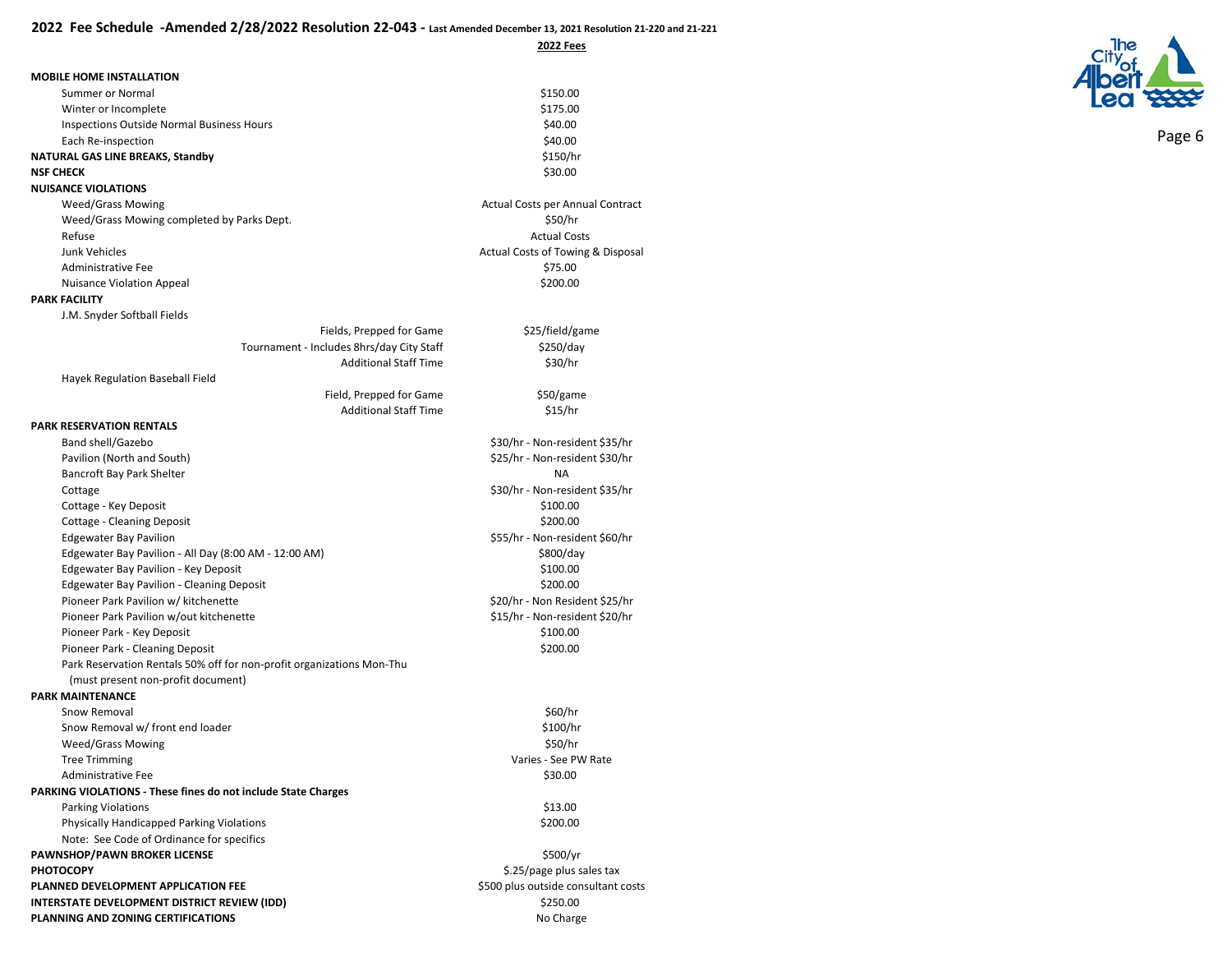**2022 Fees**

\$25/field/game  $$250/day$  $$30/hr$ 

> \$50/game  $$15/hr$

\$30/hr - Non-resident \$35/hr \$25/hr - Non-resident \$30/hr

\$30/hr - Non-resident \$35/hr

\$55/hr - Non-resident \$60/hr

\$20/hr - Non Resident \$25/hr \$15/hr - Non-resident \$20/hr

| Summer or Normal                          | \$150.00 |
|-------------------------------------------|----------|
| Winter or Incomplete                      | \$175.00 |
| Inspections Outside Normal Business Hours | \$40.00  |
| Each Re-inspection                        | \$40.00  |
|                                           | $\cdots$ |

## **NATURAL GAS LINE BREAKS, Standby \$150/hr \$150/hr \$150.00**<br>NSF CHECK \$30.00 **NSF CHECK** \$30.00

### **NUISANCE VIOLATIONS**

| Weed/Grass Mowing                          | Actual Costs per Annual Contract  |  |
|--------------------------------------------|-----------------------------------|--|
| Weed/Grass Mowing completed by Parks Dept. | \$50/hr                           |  |
| Refuse                                     | <b>Actual Costs</b>               |  |
| Junk Vehicles                              | Actual Costs of Towing & Disposal |  |
| Administrative Fee                         | \$75.00                           |  |
| <b>Nuisance Violation Appeal</b>           | \$200.00                          |  |

## **PARK FACILITY**

| J.M. Snyder Softball Fields                                           |                                           |                      |
|-----------------------------------------------------------------------|-------------------------------------------|----------------------|
|                                                                       | Fields, Prepped for Game                  | \$25/field/ga        |
|                                                                       | Tournament - Includes 8hrs/day City Staff | \$250/day            |
|                                                                       | <b>Additional Staff Time</b>              | \$30/hr              |
| Hayek Regulation Baseball Field                                       |                                           |                      |
|                                                                       | Field, Prepped for Game                   | \$50/game            |
|                                                                       | <b>Additional Staff Time</b>              | \$15/hr              |
| <b>PARK RESERVATION RENTALS</b>                                       |                                           |                      |
| Band shell/Gazebo                                                     |                                           | \$30/hr - Non-reside |
| Pavilion (North and South)                                            |                                           | \$25/hr - Non-reside |
| Bancroft Bay Park Shelter                                             |                                           | <b>NA</b>            |
| Cottage                                                               |                                           | \$30/hr - Non-reside |
| Cottage - Key Deposit                                                 |                                           | \$100.00             |
| <b>Cottage - Cleaning Deposit</b>                                     |                                           | \$200.00             |
| <b>Edgewater Bay Pavilion</b>                                         |                                           | \$55/hr - Non-reside |
| Edgewater Bay Pavilion - All Day (8:00 AM - 12:00 AM)                 |                                           | \$800/day            |
| Edgewater Bay Pavilion - Key Deposit                                  |                                           | \$100.00             |
| <b>Edgewater Bay Pavilion - Cleaning Deposit</b>                      |                                           | \$200.00             |
| Pioneer Park Pavilion w/ kitchenette                                  |                                           | \$20/hr - Non Reside |
| Pioneer Park Pavilion w/out kitchenette                               |                                           | \$15/hr - Non-reside |
| Pioneer Park - Key Deposit                                            |                                           | \$100.00             |
| Pioneer Park - Cleaning Deposit                                       |                                           | \$200.00             |
| Park Reservation Rentals 50% off for non-profit organizations Mon-Thu |                                           |                      |
| (must present non-profit document)                                    |                                           |                      |
| <b>PARK MAINTENANCE</b>                                               |                                           |                      |
| Snow Removal                                                          |                                           | \$60/hr              |
| Chaus Domain Luis front and loader                                    |                                           | $6400$ $\mu$         |

| Snow Removal                                                         | \$60/hr                             |
|----------------------------------------------------------------------|-------------------------------------|
| Snow Removal w/ front end loader                                     | \$100/hr                            |
| <b>Weed/Grass Mowing</b>                                             | \$50/hr                             |
| <b>Tree Trimming</b>                                                 | Varies - See PW Rate                |
| Administrative Fee                                                   | \$30.00                             |
| <b>PARKING VIOLATIONS - These fines do not include State Charges</b> |                                     |
| <b>Parking Violations</b>                                            | \$13.00                             |
| <b>Physically Handicapped Parking Violations</b>                     | \$200.00                            |
| Note: See Code of Ordinance for specifics                            |                                     |
| PAWNSHOP/PAWN BROKER LICENSE                                         | \$500/yr                            |
| <b>PHOTOCOPY</b>                                                     | \$.25/page plus sales tax           |
| PLANNED DEVELOPMENT APPLICATION FEE                                  | \$500 plus outside consultant costs |
| INTERSTATE DEVELOPMENT DISTRICT REVIEW (IDD)                         | \$250.00                            |
| PLANNING AND ZONING CERTIFICATIONS                                   | No Charge                           |

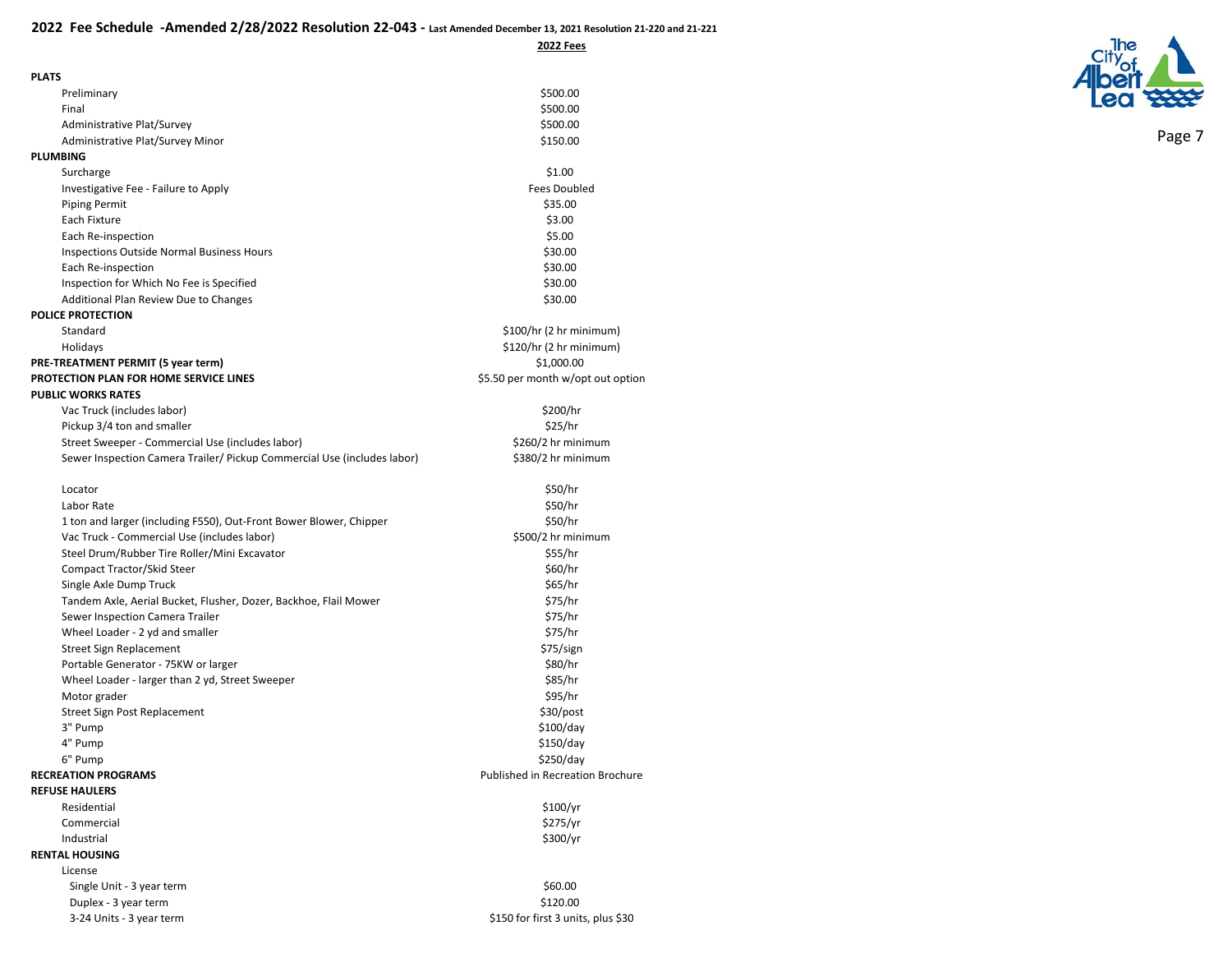**2022 Fees**

| <b>PLATS</b>                                                            |                                    |
|-------------------------------------------------------------------------|------------------------------------|
| Preliminary                                                             | \$500.00                           |
| Final                                                                   | \$500.00                           |
| Administrative Plat/Survey                                              | \$500.00                           |
| Administrative Plat/Survey Minor                                        | \$150.00                           |
| <b>PLUMBING</b>                                                         |                                    |
| Surcharge                                                               | \$1.00                             |
| Investigative Fee - Failure to Apply                                    | <b>Fees Doubled</b>                |
| <b>Piping Permit</b>                                                    | \$35.00                            |
| Each Fixture                                                            | \$3.00                             |
| Each Re-inspection                                                      | \$5.00                             |
| <b>Inspections Outside Normal Business Hours</b>                        | \$30.00                            |
| Each Re-inspection                                                      | \$30.00                            |
| Inspection for Which No Fee is Specified                                | \$30.00                            |
| Additional Plan Review Due to Changes                                   | \$30.00                            |
| <b>POLICE PROTECTION</b>                                                |                                    |
| Standard                                                                | \$100/hr (2 hr minimum)            |
| Holidays                                                                | \$120/hr (2 hr minimum)            |
| PRE-TREATMENT PERMIT (5 year term)                                      | \$1,000.00                         |
| PROTECTION PLAN FOR HOME SERVICE LINES                                  | \$5.50 per month w/opt out option  |
| <b>PUBLIC WORKS RATES</b>                                               |                                    |
| Vac Truck (includes labor)                                              | \$200/hr                           |
| Pickup 3/4 ton and smaller                                              | \$25/hr                            |
| Street Sweeper - Commercial Use (includes labor)                        | \$260/2 hr minimum                 |
| Sewer Inspection Camera Trailer/ Pickup Commercial Use (includes labor) | \$380/2 hr minimum                 |
| Locator                                                                 | \$50/hr                            |
| Labor Rate                                                              | \$50/hr                            |
| 1 ton and larger (including F550), Out-Front Bower Blower, Chipper      | \$50/hr                            |
| Vac Truck - Commercial Use (includes labor)                             | \$500/2 hr minimum                 |
| Steel Drum/Rubber Tire Roller/Mini Excavator                            | \$55/hr                            |
| Compact Tractor/Skid Steer                                              | \$60/hr                            |
| Single Axle Dump Truck                                                  | \$65/hr                            |
| Tandem Axle, Aerial Bucket, Flusher, Dozer, Backhoe, Flail Mower        | \$75/hr                            |
| Sewer Inspection Camera Trailer                                         | \$75/hr                            |
| Wheel Loader - 2 yd and smaller                                         | \$75/hr                            |
| <b>Street Sign Replacement</b>                                          | \$75/sign                          |
| Portable Generator - 75KW or larger                                     | \$80/hr                            |
| Wheel Loader - larger than 2 yd, Street Sweeper                         | \$85/hr                            |
| Motor grader                                                            | \$95/hr                            |
| Street Sign Post Replacement                                            | $$30$ /post                        |
| 3" Pump                                                                 | \$100/day                          |
| 4" Pump                                                                 | \$150/day                          |
| 6" Pump                                                                 | \$250/day                          |
| <b>RECREATION PROGRAMS</b>                                              | Published in Recreation Brochure   |
| <b>REFUSE HAULERS</b>                                                   |                                    |
| Residential                                                             | \$100/yr                           |
| Commercial                                                              | \$275/yr                           |
| Industrial                                                              | \$300/yr                           |
| <b>RENTAL HOUSING</b>                                                   |                                    |
| License                                                                 |                                    |
| Single Unit - 3 year term                                               | \$60.00                            |
| Duplex - 3 year term                                                    | \$120.00                           |
| 3-24 Units - 3 year term                                                | \$150 for first 3 units, plus \$30 |

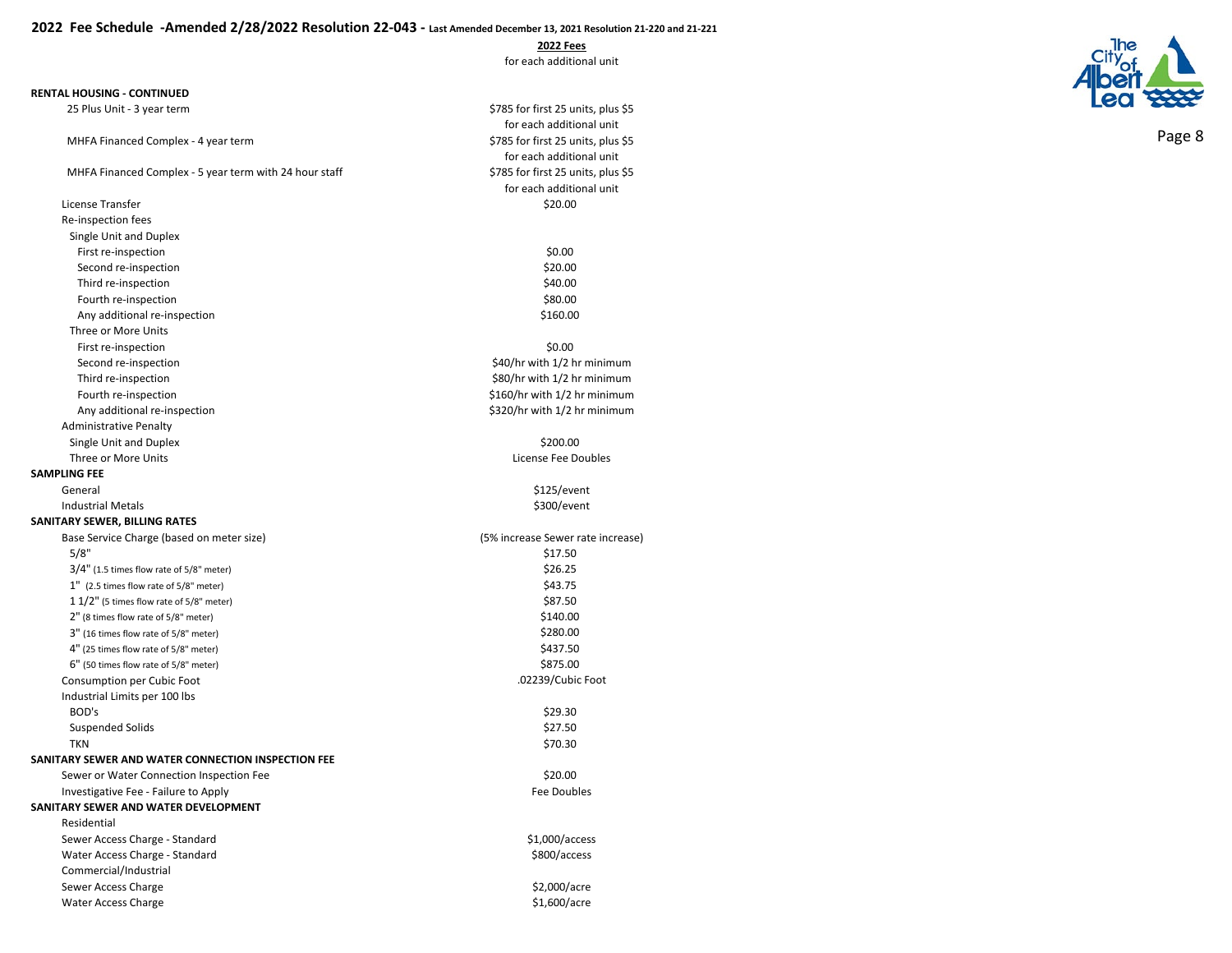**2022 Fees**

for each additional unit

for each additional unit<br>\$785 for first 25 units, plus \$5

for each additional unit<br>\$785 for first 25 units, plus \$5

for each additional unit

#### **RENTAL HOUSING - CONTINUED**

25 Plus Unit - 3 year term  $\frac{5785}{25}$  for first 25 units, plus \$5

MHFA Financed Complex - 4 year term

MHFA Financed Complex - 5 year term with 24 hour staff

| License Transfer                                   | \$20.00                           |
|----------------------------------------------------|-----------------------------------|
| Re-inspection fees                                 |                                   |
| Single Unit and Duplex                             |                                   |
| First re-inspection                                | \$0.00                            |
| Second re-inspection                               | \$20.00                           |
| Third re-inspection                                | \$40.00                           |
| Fourth re-inspection                               | \$80.00                           |
| Any additional re-inspection                       | \$160.00                          |
| Three or More Units                                |                                   |
| First re-inspection                                | \$0.00                            |
| Second re-inspection                               | \$40/hr with 1/2 hr minimum       |
| Third re-inspection                                | \$80/hr with 1/2 hr minimum       |
| Fourth re-inspection                               | \$160/hr with 1/2 hr minimum      |
| Any additional re-inspection                       | \$320/hr with 1/2 hr minimum      |
| <b>Administrative Penalty</b>                      |                                   |
| Single Unit and Duplex                             | \$200.00                          |
| Three or More Units                                | License Fee Doubles               |
| <b>SAMPLING FEE</b>                                |                                   |
| General                                            | \$125/event                       |
| <b>Industrial Metals</b>                           | \$300/event                       |
| SANITARY SEWER, BILLING RATES                      |                                   |
| Base Service Charge (based on meter size)          | (5% increase Sewer rate increase) |
| 5/8"                                               | \$17.50                           |
| $3/4"$ (1.5 times flow rate of 5/8" meter)         | \$26.25                           |
| 1" (2.5 times flow rate of 5/8" meter)             | \$43.75                           |
| 1 1/2" (5 times flow rate of 5/8" meter)           | \$87.50                           |
| 2" (8 times flow rate of 5/8" meter)               | \$140.00                          |
| 3" (16 times flow rate of 5/8" meter)              | \$280.00                          |
| 4" (25 times flow rate of 5/8" meter)              | \$437.50                          |
| 6" (50 times flow rate of 5/8" meter)              | \$875.00                          |
| Consumption per Cubic Foot                         | .02239/Cubic Foot                 |
| Industrial Limits per 100 lbs                      |                                   |
| BOD's                                              | \$29.30                           |
| <b>Suspended Solids</b>                            | \$27.50                           |
| <b>TKN</b>                                         | \$70.30                           |
| SANITARY SEWER AND WATER CONNECTION INSPECTION FEE |                                   |
| Sewer or Water Connection Inspection Fee           | \$20.00                           |
| Investigative Fee - Failure to Apply               | <b>Fee Doubles</b>                |
| SANITARY SEWER AND WATER DEVELOPMENT               |                                   |
| Residential                                        |                                   |
| Sewer Access Charge - Standard                     | \$1,000/access                    |
| Water Access Charge - Standard                     | \$800/access                      |
| Commercial/Industrial                              |                                   |
|                                                    |                                   |
| Sewer Access Charge                                | \$2,000/acre                      |

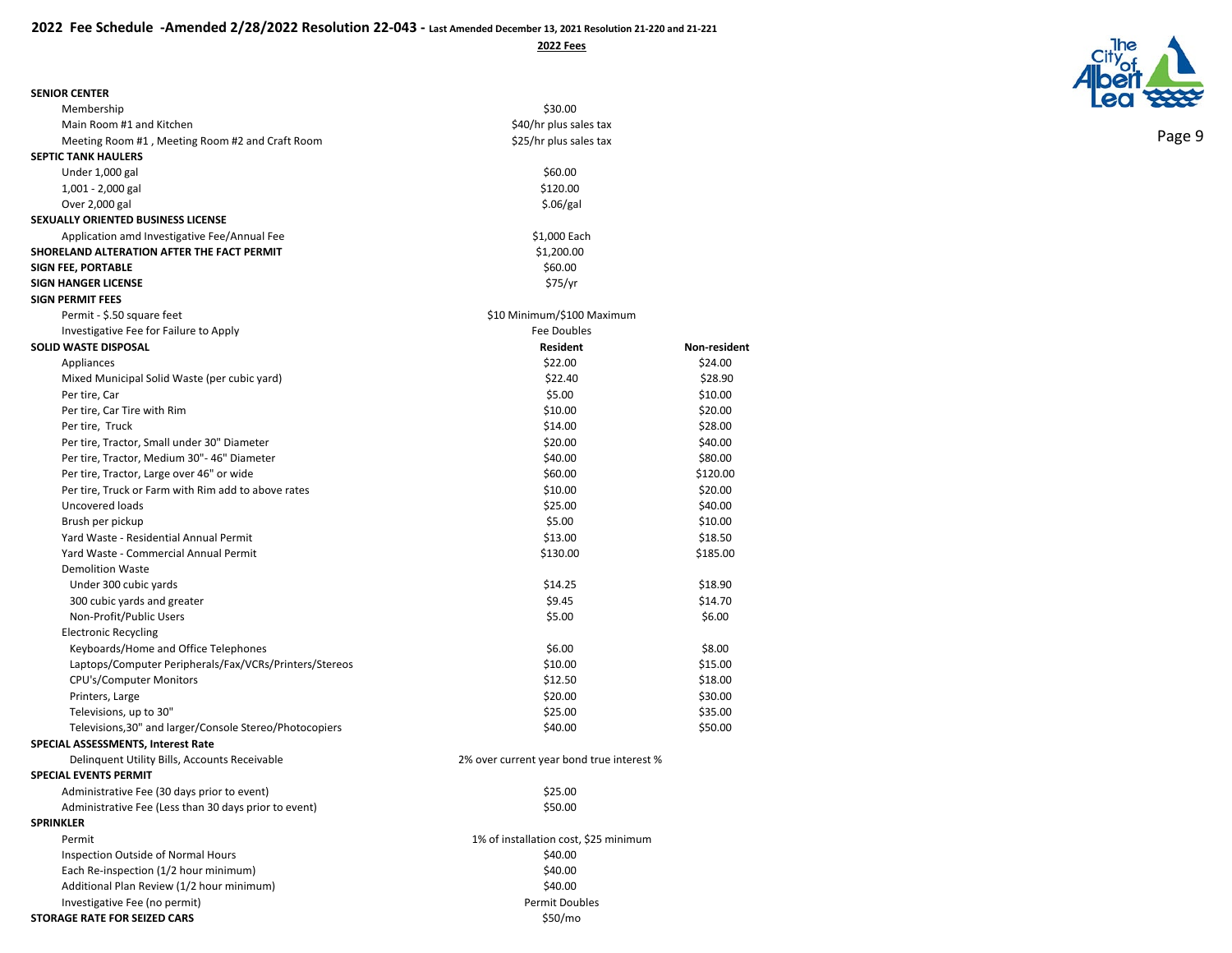**SENIOR CENTER** Membership

**SEPTIC TANK HAULERS**  Under  $1,000$  gal 1,001 - 2,000 gal Over 2,000 gal

Main Room #1 and Kitchen

**SEXUALLY ORIENTED BUSINESS LICENSE**

Meeting Room #1, Meeting Room #2 and Craft Room

Application amd Investigative Fee/Annual Fee

| \$30.00                |  |  |
|------------------------|--|--|
| \$40/hr plus sales tax |  |  |
| \$25/hr plus sales tax |  |  |
| \$60.00                |  |  |
| \$120.00               |  |  |
| \$.06/gal              |  |  |
| \$1,000 Each           |  |  |
| \$1,200.00             |  |  |



| SHORELAND ALTERATION AFTER THE FACT PERMIT              | \$1,200.00                                |              |  |
|---------------------------------------------------------|-------------------------------------------|--------------|--|
| <b>SIGN FEE, PORTABLE</b>                               | \$60.00                                   |              |  |
| <b>SIGN HANGER LICENSE</b>                              | \$75/yr                                   |              |  |
| <b>SIGN PERMIT FEES</b>                                 |                                           |              |  |
| Permit - \$.50 square feet                              | \$10 Minimum/\$100 Maximum                |              |  |
| Investigative Fee for Failure to Apply                  | Fee Doubles                               |              |  |
| <b>SOLID WASTE DISPOSAL</b>                             | <b>Resident</b>                           | Non-resident |  |
| Appliances                                              | \$22.00                                   | \$24.00      |  |
| Mixed Municipal Solid Waste (per cubic yard)            | \$22.40                                   | \$28.90      |  |
| Per tire, Car                                           | \$5.00                                    | \$10.00      |  |
| Per tire, Car Tire with Rim                             | \$10.00                                   | \$20.00      |  |
| Per tire, Truck                                         | \$14.00                                   | \$28.00      |  |
| Per tire, Tractor, Small under 30" Diameter             | \$20.00                                   | \$40.00      |  |
| Per tire, Tractor, Medium 30"- 46" Diameter             | \$40.00                                   | \$80.00      |  |
| Per tire, Tractor, Large over 46" or wide               | \$60.00                                   | \$120.00     |  |
| Per tire, Truck or Farm with Rim add to above rates     | \$10.00                                   | \$20.00      |  |
| Uncovered loads                                         | \$25.00                                   | \$40.00      |  |
| Brush per pickup                                        | \$5.00                                    | \$10.00      |  |
| Yard Waste - Residential Annual Permit                  | \$13.00                                   | \$18.50      |  |
| Yard Waste - Commercial Annual Permit                   | \$130.00                                  | \$185.00     |  |
| <b>Demolition Waste</b>                                 |                                           |              |  |
| Under 300 cubic yards                                   | \$14.25                                   | \$18.90      |  |
| 300 cubic yards and greater                             | \$9.45                                    | \$14.70      |  |
| Non-Profit/Public Users                                 | \$5.00                                    | \$6.00       |  |
| <b>Electronic Recycling</b>                             |                                           |              |  |
| Keyboards/Home and Office Telephones                    | \$6.00                                    | \$8.00       |  |
| Laptops/Computer Peripherals/Fax/VCRs/Printers/Stereos  | \$10.00                                   | \$15.00      |  |
| CPU's/Computer Monitors                                 | \$12.50                                   | \$18.00      |  |
| Printers, Large                                         | \$20.00                                   | \$30.00      |  |
| Televisions, up to 30"                                  | \$25.00                                   | \$35.00      |  |
| Televisions, 30" and larger/Console Stereo/Photocopiers | \$40.00                                   | \$50.00      |  |
| SPECIAL ASSESSMENTS, Interest Rate                      |                                           |              |  |
| Delinquent Utility Bills, Accounts Receivable           | 2% over current year bond true interest % |              |  |
| <b>SPECIAL EVENTS PERMIT</b>                            |                                           |              |  |
| Administrative Fee (30 days prior to event)             | \$25.00                                   |              |  |
| Administrative Fee (Less than 30 days prior to event)   | \$50.00                                   |              |  |
| <b>SPRINKLER</b>                                        |                                           |              |  |
| Permit                                                  | 1% of installation cost, \$25 minimum     |              |  |
| Inspection Outside of Normal Hours                      | \$40.00                                   |              |  |
| Each Re-inspection (1/2 hour minimum)                   | \$40.00                                   |              |  |
| Additional Plan Review (1/2 hour minimum)               | \$40.00                                   |              |  |
| Investigative Fee (no permit)                           | <b>Permit Doubles</b>                     |              |  |
| <b>STORAGE RATE FOR SEIZED CARS</b>                     | \$50/mo                                   |              |  |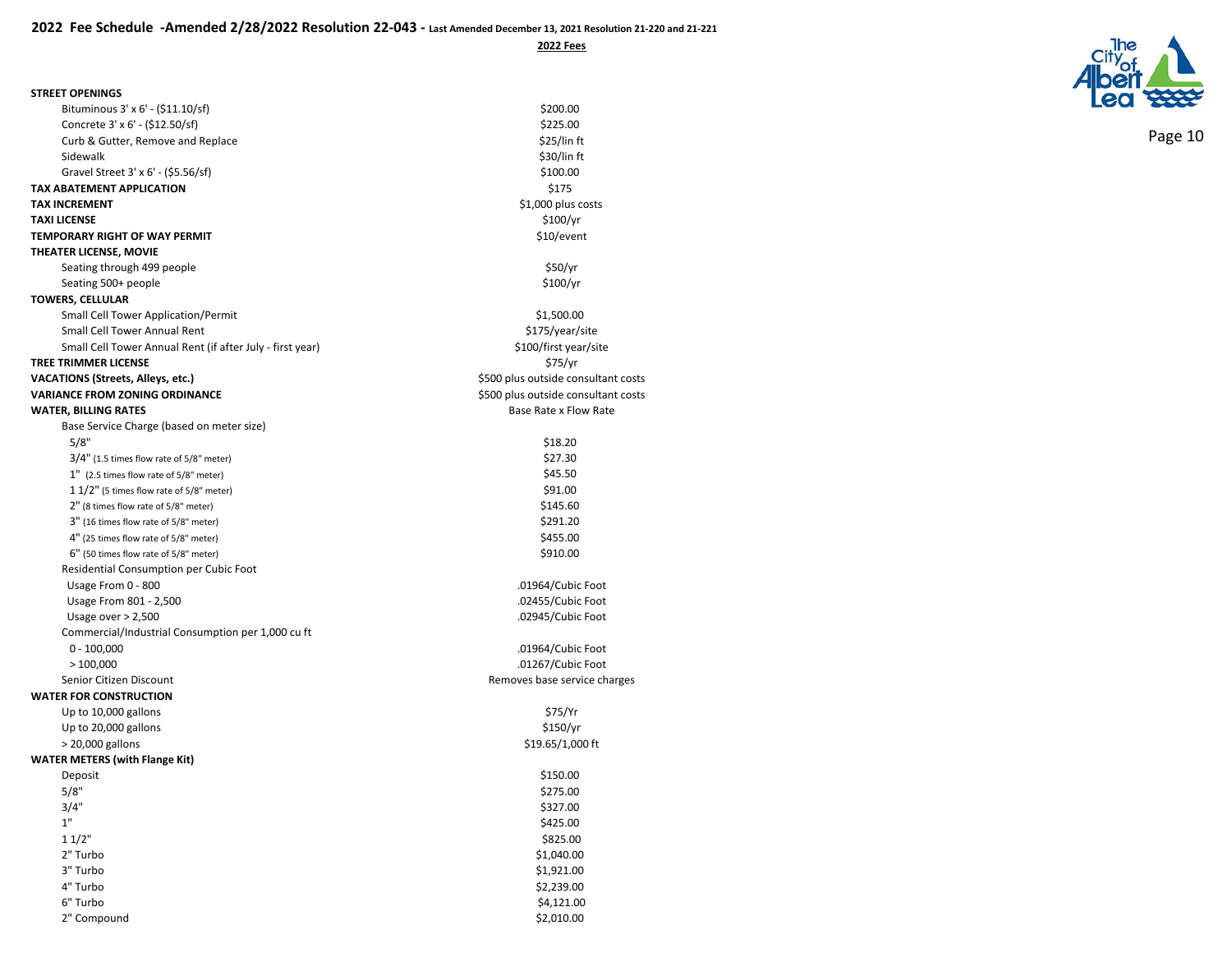| <b>STREET OPENINGS</b> |  |
|------------------------|--|
|                        |  |

| Bituminous 3' x 6' - (\$11.10/sf)                         | \$200.00                            |
|-----------------------------------------------------------|-------------------------------------|
| Concrete 3' x 6' - (\$12.50/sf)                           | \$225.00                            |
| Curb & Gutter, Remove and Replace                         | \$25/lin ft                         |
| Sidewalk                                                  | \$30/lin ft                         |
| Gravel Street 3' x 6' - (\$5.56/sf)                       | \$100.00                            |
| TAX ABATEMENT APPLICATION                                 | \$175                               |
| <b>TAX INCREMENT</b>                                      | \$1,000 plus costs                  |
| <b>TAXI LICENSE</b>                                       | \$100/yr                            |
| TEMPORARY RIGHT OF WAY PERMIT                             | \$10/event                          |
| THEATER LICENSE, MOVIE                                    |                                     |
| Seating through 499 people                                | \$50/yr                             |
| Seating 500+ people                                       | \$100/yr                            |
| <b>TOWERS, CELLULAR</b>                                   |                                     |
| <b>Small Cell Tower Application/Permit</b>                | \$1,500.00                          |
| Small Cell Tower Annual Rent                              | \$175/year/site                     |
| Small Cell Tower Annual Rent (if after July - first year) | \$100/first year/site               |
| TREE TRIMMER LICENSE                                      | \$75/yr                             |
| VACATIONS (Streets, Alleys, etc.)                         | \$500 plus outside consultant costs |
| <b>VARIANCE FROM ZONING ORDINANCE</b>                     | \$500 plus outside consultant costs |
| <b>WATER, BILLING RATES</b>                               | Base Rate x Flow Rate               |
| Base Service Charge (based on meter size)                 |                                     |
| 5/8"                                                      | \$18.20                             |
| $3/4"$ (1.5 times flow rate of 5/8" meter)                | \$27.30                             |
| 1" (2.5 times flow rate of 5/8" meter)                    | \$45.50                             |
| $11/2"$ (5 times flow rate of 5/8" meter)                 | \$91.00                             |
| 2" (8 times flow rate of 5/8" meter)                      | \$145.60                            |
| 3" (16 times flow rate of 5/8" meter)                     | \$291.20                            |
| 4" (25 times flow rate of 5/8" meter)                     | \$455.00                            |
| 6" (50 times flow rate of 5/8" meter)                     | \$910.00                            |
| Residential Consumption per Cubic Foot                    |                                     |
| Usage From 0 - 800                                        | .01964/Cubic Foot                   |
| Usage From 801 - 2,500                                    | .02455/Cubic Foot                   |
| Usage over $> 2,500$                                      | .02945/Cubic Foot                   |
| Commercial/Industrial Consumption per 1,000 cu ft         |                                     |
| $0 - 100,000$                                             | .01964/Cubic Foot                   |
| >100,000                                                  | .01267/Cubic Foot                   |
| Senior Citizen Discount                                   | Removes base service charges        |
| <b>WATER FOR CONSTRUCTION</b>                             |                                     |
| Up to 10,000 gallons                                      | \$75/Yr                             |
| Up to 20,000 gallons                                      | \$150/yr                            |
| > 20,000 gallons                                          | \$19.65/1,000 ft                    |
| <b>WATER METERS (with Flange Kit)</b>                     |                                     |
| Deposit                                                   | \$150.00                            |
| 5/8"                                                      | \$275.00                            |
| 3/4"                                                      | \$327.00                            |
| 1"                                                        | \$425.00                            |
| 11/2"                                                     | \$825.00                            |
| 2" Turbo                                                  | \$1,040.00                          |
| 3" Turbo                                                  | \$1,921.00                          |
| 4" Turbo                                                  | \$2,239.00                          |
| 6" Turbo                                                  | \$4,121.00                          |
| 2" Compound                                               | \$2,010.00                          |
|                                                           |                                     |